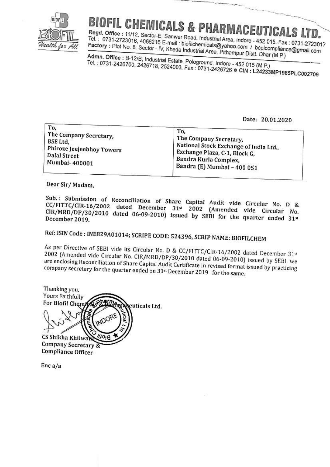

## **BIOFIL CHEMICALS & PHARMACEUTICALS LTD.**

Regd. Office: 11/12, Sector-E, Sanwer Road, Industrial Area, Indore - 452 015. Fax: 0731-2723017 Tel.: 0731-2723016, 4066216 E-mail: biofilchemicals@yahoo.com / bcplcompliance@gmail.com Factory: Plot No. 8, Sector - IV, Kheda Industrial Area, Pithampur Distl. Dhar (M.P.)

Admn. Office: B-12/B, Industrial Estate, Pologround, Indore - 452 015 (M.P.) Tel.: 0731-2426700, 2426718, 2524003, Fax: 0731-2426726 @ CIN: L24233MP1985PLC002709

Date: 20.01.2020

Dear Sir/Madam,

Sub.: Submission of Reconciliation of Share Capital Audit vide Circular No. D & CC/FITTC/CIR-16/2002 dated December 31st 2002 (Amended vide Circular No. CIR/MRD/DP/30/2010 dated 06-09-2010) issued by SEBI for the quarter ended 31st

## Ref: ISIN Code: INE829A01014; SCRIPE CODE: 524396, SCRIP NAME: BIOFILCHEM

As per Directive of SEBI vide its Circular No. D & CC/FITTC/CIR-16/2002 dated December 31st 2002 (Amended vide Circular No. CIR/MRD/DP/30/2010 dated 06-09-2010) issued by SEBI, we are enclosing Reconciliation of Share Capital Audit Certificate in revised format issued by practicing company secretary for the quarter ended on 31st December 2019 for the same.

Thanking you. Yours Faithfully For Biofil Chemi euticals Ltd. **ADOF** CS Shikha Khilw Company Secretary Compliance Officer

 $Enc a/a$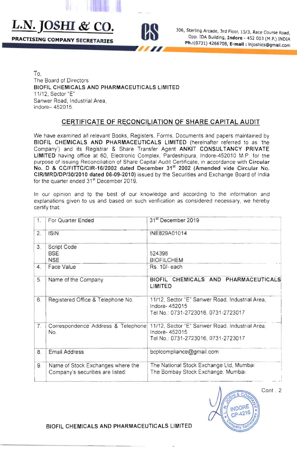PRACTISING COMPANY SECRETARIES



**L.N.** JOSHI & CO. 306, Sterling Arcade, 3rd Floor, 15/3, Race Course Road, Opp. IDA Building, Indore - 452 003 (M.P.) INDIA Ph.:(0731) 4266708, E-mail: Injoshics@gmail.com

~" ~====~======~~=====

To, The Board of Directors BIOFIL CHEMICALS AND PHARMACEUTICALS LIMITED 11/12, Sector "E" Sanwer Road. Industrial Area, Indore- 452015.

## CERTIFICATE OF RECONCILIATION OF SHARE CAPITAL AUDIT

We have examined all relevant Books, Registers, Forms, Documents and papers maintained by BIOFIL CHEMICALS AND PHARMACEUTICALS LIMITED (hereinafter referred to as 'the Company') and its Registrar & Share Transfer Agent ANKIT CONSULTANCY PRIVATE LIMITED having office at 60, Electronic Complex, Pardeshipura, Indore-452010 M.P. for the purpose of issuing Reconciliation of Share Capital Audit Certificate, in accordance with Circular No. D & CC/FITIC/CIR-16/2002 dated December 31" 2002 (Amended vide Circular No. CIR/MRD/DP/30/2010 dated 06-09-2010) issued by the Securities and Exchange Board of India for the quarter ended 31<sup>st</sup> December 2019.

In our opinion and to the best of our knowledge and according to the information and explanations given to us and based on such verification as considered necessary, we hereby certify that:

| 1.             | For Quarter Ended                                                     | 31 <sup>st</sup> December 2019                                                                          |
|----------------|-----------------------------------------------------------------------|---------------------------------------------------------------------------------------------------------|
| 2.             | <b>ISIN</b>                                                           | INE829A01014                                                                                            |
| 3 <sub>1</sub> | <b>Script Code</b><br><b>BSE</b><br><b>NSE</b>                        | 524396<br><b>BIOFILCHEM</b>                                                                             |
| 4.             | Face Value                                                            | Rs. 10/- each                                                                                           |
| 5.             | Name of the Company                                                   | BIOFIL CHEMICALS AND PHARMACEUTICALS<br>LIMITED                                                         |
| 6.             | Registered Office & Telephone No.                                     | 11/12, Sector "E" Sanwer Road, Industrial Area,<br>Indore-452015<br>Tel No.: 0731-2723016, 0731-2723017 |
| 7.             | Correspondence Address & Telephone<br>No.                             | 11/12, Sector "E" Sanwer Road, Industrial Area,<br>Indore-452015<br>Tel No.: 0731-2723016, 0731-2723017 |
| 8.             | <b>Email Address</b>                                                  | bcplcompliance@gmail.com                                                                                |
| 9.             | Name of Stock Exchanges where the<br>Company's securities are listed: | The National Stock Exchange Ltd, Mumbai<br>The Bombay Stock Exchange, Mumbai                            |



BIOFIL CHEMICALS AND PHARMACEUTICALS LIMITED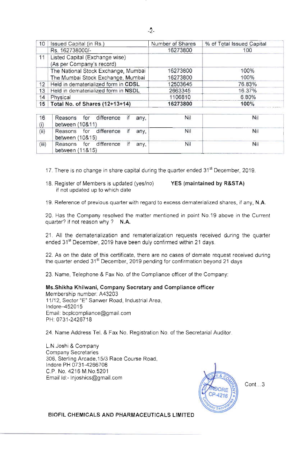| 10              | Issued Capital (in Rs.)                                     | Number of Shares | % of Total Issued Capital |
|-----------------|-------------------------------------------------------------|------------------|---------------------------|
|                 | Rs. 162738000/-                                             | 16273800         | 100                       |
| 11              | Listed Capital (Exchange wise)<br>(As per Company's record) |                  |                           |
|                 | The National Stock Exchange, Mumbai                         | 16273800         | 100%                      |
|                 | The Mumbai Stock Exchange, Mumbai                           | 16273800         | 100%                      |
| 12              | Held in dematerialized form in CDSL                         | 12503645         | 76.83%                    |
| 13              | Held in dematerialized form in NSDL                         | 2663345          | 16.37%                    |
| 14              | Physical                                                    | 1106810          | 6.80%                     |
| 15 <sup>1</sup> | Total No. of Shares (12+13+14)                              | 16273800         | 100%                      |

| 16    | Reasons for difference<br>between (10&11)         | if | any. | Nil | Nil |
|-------|---------------------------------------------------|----|------|-----|-----|
| (ii)  | Reasons for difference if any,<br>between (10&15) |    |      | Nil | Nil |
| (iii) | Reasons for difference if any,<br>between (11&15) |    |      | Nil | Nil |

17. There is no change in share capital during the quarter ended  $31<sup>st</sup>$  December, 2019.

18. Register of Members is updated (yes/no) YES (maintained by R&STA) if not updated up to which date

19. Reference of previous quarter with regard to excess dematerialized shares, if any, N.A.

20. Has the Company resolved the matter mentioned in point No.19 above in the Current quarter? if not reason why ? N.A.

21. All the dematerialization and rematerialization requests received during the quarter ended 31<sup>st</sup> December, 2019 have been duly confirmed within 21 days.

22. As on the date of this certificate, there are no cases of demate request received during the quarter ended 31<sup>st</sup> December, 2019 pending for confirmation beyond 21 days

23. Name, Telephone & Fax No. of the Compliance officer of the Company:

## Ms.Shikha Khilwani, Company Secretary and Compliance officer

Membership number: A43203 11/12, Sector "E" Sanwer Road, Industrial Area, Indore-452015 Email: bcplcompliance@gmail.com PH: 0731-2426718

24. Name Address Tel. & Fax No. Registration No. of the Secretarial Auditor.

L.N.Joshi & Company Company Secretaries 306, Sterling Arcade, 15/3 Race Course Road, Indore PH 0731-4266708 CP No. 4216 M.No.5201 Email Id:- Injoshics@gmail.com



Cont...3

BIOFIL CHEMICALS AND PHARMACEUTICALS LIMITED